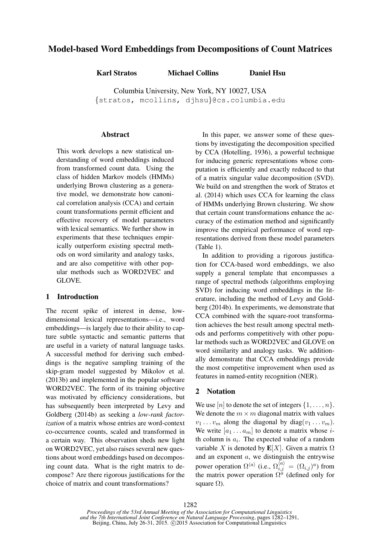# Model-based Word Embeddings from Decompositions of Count Matrices

Karl Stratos Michael Collins Daniel Hsu

Columbia University, New York, NY 10027, USA {stratos, mcollins, djhsu}@cs.columbia.edu

### Abstract

This work develops a new statistical understanding of word embeddings induced from transformed count data. Using the class of hidden Markov models (HMMs) underlying Brown clustering as a generative model, we demonstrate how canonical correlation analysis (CCA) and certain count transformations permit efficient and effective recovery of model parameters with lexical semantics. We further show in experiments that these techniques empirically outperform existing spectral methods on word similarity and analogy tasks, and are also competitive with other popular methods such as WORD2VEC and GLOVE.

# 1 Introduction

The recent spike of interest in dense, lowdimensional lexical representations—i.e., word embeddings—is largely due to their ability to capture subtle syntactic and semantic patterns that are useful in a variety of natural language tasks. A successful method for deriving such embeddings is the negative sampling training of the skip-gram model suggested by Mikolov et al. (2013b) and implemented in the popular software WORD2VEC. The form of its training objective was motivated by efficiency considerations, but has subsequently been interpreted by Levy and Goldberg (2014b) as seeking a *low-rank factorization* of a matrix whose entries are word-context co-occurrence counts, scaled and transformed in a certain way. This observation sheds new light on WORD2VEC, yet also raises several new questions about word embeddings based on decomposing count data. What is the right matrix to decompose? Are there rigorous justifications for the choice of matrix and count transformations?

In this paper, we answer some of these questions by investigating the decomposition specified by CCA (Hotelling, 1936), a powerful technique for inducing generic representations whose computation is efficiently and exactly reduced to that of a matrix singular value decomposition (SVD). We build on and strengthen the work of Stratos et al. (2014) which uses CCA for learning the class of HMMs underlying Brown clustering. We show that certain count transformations enhance the accuracy of the estimation method and significantly improve the empirical performance of word representations derived from these model parameters (Table 1).

In addition to providing a rigorous justification for CCA-based word embeddings, we also supply a general template that encompasses a range of spectral methods (algorithms employing SVD) for inducing word embeddings in the literature, including the method of Levy and Goldberg (2014b). In experiments, we demonstrate that CCA combined with the square-root transformation achieves the best result among spectral methods and performs competitively with other popular methods such as WORD2VEC and GLOVE on word similarity and analogy tasks. We additionally demonstrate that CCA embeddings provide the most competitive improvement when used as features in named-entity recognition (NER).

### 2 Notation

We use  $[n]$  to denote the set of integers  $\{1, \ldots, n\}$ . We denote the  $m \times m$  diagonal matrix with values  $v_1 \ldots v_m$  along the diagonal by diag $(v_1 \ldots v_m)$ . We write  $[a_1 \dots a_m]$  to denote a matrix whose *i*th column is  $a_i$ . The expected value of a random variable X is denoted by  $E[X]$ . Given a matrix  $\Omega$ and an exponent a, we distinguish the entrywise power operation  $\Omega^{\langle a \rangle}$  (i.e.,  $\Omega_{i,j}^{\langle a \rangle} = (\Omega_{i,j})^a$ ) from the matrix power operation  $\Omega^{\alpha}$  (defined only for square  $\Omega$ ).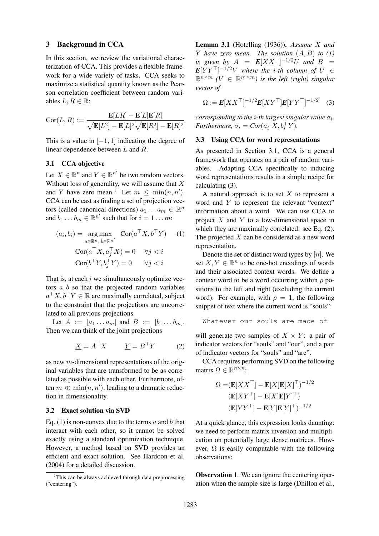#### 3 Background in CCA

In this section, we review the variational characterization of CCA. This provides a flexible framework for a wide variety of tasks. CCA seeks to maximize a statistical quantity known as the Pearson correlation coefficient between random variables  $L, R \in \mathbb{R}$ :

$$
Cor(L, R) := \frac{\mathbf{E}[LR] - \mathbf{E}[L]\mathbf{E}[R]}{\sqrt{\mathbf{E}[L^2] - \mathbf{E}[L]^2}\sqrt{\mathbf{E}[R^2] - \mathbf{E}[R]^2}}
$$

This is a value in  $[-1, 1]$  indicating the degree of linear dependence between L and R.

## 3.1 CCA objective

Let  $X \in \mathbb{R}^n$  and  $Y \in \mathbb{R}^{n'}$  be two random vectors. Without loss of generality, we will assume that  $X$ and Y have zero mean.<sup>1</sup> Let  $m \leq \min(n, n')$ . CCA can be cast as finding a set of projection vectors (called canonical directions)  $a_1 \dots a_m \in \mathbb{R}^n$ and  $b_1 \tldots b_m \in \mathbb{R}^{n'}$  such that for  $i = 1 \ldots m$ :

$$
(a_i, b_i) = \underset{a \in \mathbb{R}^n, b \in \mathbb{R}^{n'}}{\arg \max} \quad \text{Cor}(a^\top X, b^\top Y) \quad (1)
$$

$$
\text{Cor}(a^\top X, a_j^\top X) = 0 \quad \forall j < i
$$

$$
\text{Cor}(b^\top Y, b_j^\top Y) = 0 \quad \forall j < i
$$

That is, at each  $i$  we simultaneously optimize vectors  $a, b$  so that the projected random variables  $a^{\top}X, b^{\top}Y \in \mathbb{R}$  are maximally correlated, subject to the constraint that the projections are uncorrelated to all previous projections.

Let  $A := [a_1 \dots a_m]$  and  $B := [b_1 \dots b_m]$ . Then we can think of the joint projections

$$
\underline{X} = A^{\top} X \qquad \underline{Y} = B^{\top} Y \qquad (2)
$$

as new m-dimensional representations of the original variables that are transformed to be as correlated as possible with each other. Furthermore, often  $m \ll \min(n, n')$ , leading to a dramatic reduction in dimensionality.

#### 3.2 Exact solution via SVD

Eq. (1) is non-convex due to the terms  $\alpha$  and  $\delta$  that interact with each other, so it cannot be solved exactly using a standard optimization technique. However, a method based on SVD provides an efficient and exact solution. See Hardoon et al. (2004) for a detailed discussion.

Lemma 3.1 (Hotelling (1936)). *Assume* X *and* Y *have zero mean. The solution* (A, B) *to (1) is given by*  $A = E[XX^\top]^{-1/2}U$  *and*  $B =$  $E[YY^\top]^{-1/2}V$  where the i-th column of  $U~\in$  $\mathbb{R}^{n \times m}$  ( $V \in \mathbb{R}^{n' \times m}$ ) is the left (right) singular *vector of*

$$
\Omega := E[XX^\top]^{-1/2} E[XY^\top] E[YY^\top]^{-1/2} \quad (3)
$$

*corresponding to the i-th largest singular value*  $\sigma_i$ . *Furthermore,*  $\sigma_i = \text{Cor}(a_i^\top X, b_i^\top Y)$ *.* 

## 3.3 Using CCA for word representations

As presented in Section 3.1, CCA is a general framework that operates on a pair of random variables. Adapting CCA specifically to inducing word representations results in a simple recipe for calculating (3).

A natural approach is to set  $X$  to represent a word and Y to represent the relevant "context" information about a word. We can use CCA to project  $X$  and  $Y$  to a low-dimensional space in which they are maximally correlated: see Eq. (2). The projected  $X$  can be considered as a new word representation.

Denote the set of distinct word types by  $[n]$ . We set  $X, Y \in \mathbb{R}^n$  to be one-hot encodings of words and their associated context words. We define a context word to be a word occurring within  $\rho$  positions to the left and right (excluding the current word). For example, with  $\rho = 1$ , the following snippet of text where the current word is "souls":

```
Whatever our souls are made of
```
will generate two samples of  $X \times Y$ : a pair of indicator vectors for "souls" and "our", and a pair of indicator vectors for "souls" and "are".

CCA requires performing SVD on the following matrix  $\Omega \in \mathbb{R}^{n \times n}$ :

$$
\Omega = (\mathbf{E}[XX^{\top}] - \mathbf{E}[X]\mathbf{E}[X]^{\top})^{-1/2}
$$

$$
(\mathbf{E}[XY^{\top}] - \mathbf{E}[X]\mathbf{E}[Y]^{\top})
$$

$$
(\mathbf{E}[YY^{\top}] - \mathbf{E}[Y]\mathbf{E}[Y]^{\top})^{-1/2}
$$

At a quick glance, this expression looks daunting: we need to perform matrix inversion and multiplication on potentially large dense matrices. However,  $\Omega$  is easily computable with the following observations:

Observation 1. We can ignore the centering operation when the sample size is large (Dhillon et al.,

<sup>&</sup>lt;sup>1</sup>This can be always achieved through data preprocessing ("centering").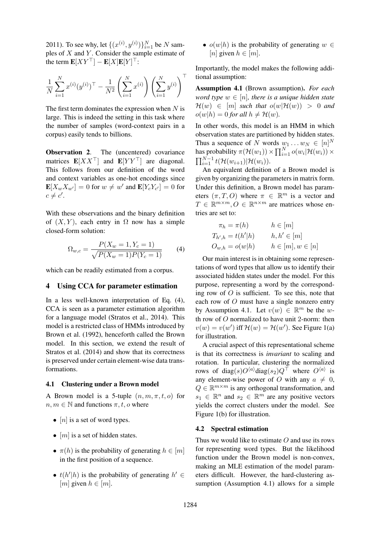2011). To see why, let  $\{(x^{(i)}, y^{(i)})\}_{i=1}^N$  be N samples of  $X$  and  $Y$ . Consider the sample estimate of the term  $\mathbf{E}[XY^{\top}] - \mathbf{E}[X]\mathbf{E}[Y]^{\top}$ :

$$
\frac{1}{N} \sum_{i=1}^{N} x^{(i)} (y^{(i)})^{\top} - \frac{1}{N^2} \left( \sum_{i=1}^{N} x^{(i)} \right) \left( \sum_{i=1}^{N} y^{(i)} \right)^{\top}
$$

The first term dominates the expression when  $N$  is large. This is indeed the setting in this task where the number of samples (word-context pairs in a corpus) easily tends to billions.

**Observation 2.** The (uncentered) covariance matrices  $\mathbf{E}[XX^\top]$  and  $\mathbf{E}[YY^\top]$  are diagonal. This follows from our definition of the word and context variables as one-hot encodings since  $\mathbf{E}[X_w X_{w'}] = 0$  for  $w \neq w'$  and  $\mathbf{E}[Y_c Y_{c'}] = 0$  for  $c \neq c'.$ 

With these observations and the binary definition of  $(X, Y)$ , each entry in  $\Omega$  now has a simple closed-form solution:

$$
\Omega_{w,c} = \frac{P(X_w = 1, Y_c = 1)}{\sqrt{P(X_w = 1)P(Y_c = 1)}}\tag{4}
$$

which can be readily estimated from a corpus.

## 4 Using CCA for parameter estimation

In a less well-known interpretation of Eq. (4), CCA is seen as a parameter estimation algorithm for a language model (Stratos et al., 2014). This model is a restricted class of HMMs introduced by Brown et al. (1992), henceforth called the Brown model. In this section, we extend the result of Stratos et al. (2014) and show that its correctness is preserved under certain element-wise data transformations.

#### 4.1 Clustering under a Brown model

A Brown model is a 5-tuple  $(n, m, \pi, t, o)$  for  $n, m \in \mathbb{N}$  and functions  $\pi, t, o$  where

- $[n]$  is a set of word types.
- $[m]$  is a set of hidden states.
- $\pi(h)$  is the probability of generating  $h \in [m]$ in the first position of a sequence.
- $t(h'|h)$  is the probability of generating  $h' \in$ [m] given  $h \in [m]$ .

•  $o(w|h)$  is the probability of generating  $w \in$ [n] given  $h \in [m]$ .

Importantly, the model makes the following additional assumption:

Assumption 4.1 (Brown assumption). *For each word type*  $w \in [n]$ *, there is a unique hidden state*  $\mathcal{H}(w) \in [m]$  *such that*  $o(w|\mathcal{H}(w)) > 0$  *and*  $o(w|h) = 0$  *for all*  $h \neq H(w)$ *.* 

In other words, this model is an HMM in which observation states are partitioned by hidden states. Thus a sequence of N words  $w_1 \dots w_N \in [n]^N$ has probability  $\pi(\mathcal{H}(w_1)) \times \prod_{i=1}^N o(w_i | \mathcal{H}(w_i)) \times$  $\prod_{i=1}^{N-1} t(\mathcal{H}(w_{i+1})|\mathcal{H}(w_i)).$ 

An equivalent definition of a Brown model is given by organizing the parameters in matrix form. Under this definition, a Brown model has parameters  $(\pi, T, O)$  where  $\pi \in \mathbb{R}^m$  is a vector and  $T \in \mathbb{R}^{m \times m}, O \in \mathbb{R}^{n \times m}$  are matrices whose entries are set to:

$$
\pi_h = \pi(h) \qquad h \in [m]
$$
  
\n
$$
T_{h',h} = t(h'|h) \qquad h, h' \in [m]
$$
  
\n
$$
O_{w,h} = o(w|h) \qquad h \in [m], w \in [n]
$$

Our main interest is in obtaining some representations of word types that allow us to identify their associated hidden states under the model. For this purpose, representing a word by the corresponding row of  $O$  is sufficient. To see this, note that each row of O must have a single nonzero entry by Assumption 4.1. Let  $v(w) \in \mathbb{R}^m$  be the wth row of O normalized to have unit 2-norm: then  $v(w) = v(w')$  iff  $\mathcal{H}(w) = \mathcal{H}(w')$ . See Figure 1(a) for illustration.

A crucial aspect of this representational scheme is that its correctness is *invariant* to scaling and rotation. In particular, clustering the normalized rows of diag(s) $O^{\langle a \rangle}$ diag(s<sub>2</sub>) $Q^{\top}$  where  $O^{\langle a \rangle}$  is any element-wise power of O with any  $a \neq 0$ ,  $Q \in \mathbb{R}^{m \times m}$  is any orthogonal transformation, and  $s_1 \in \mathbb{R}^n$  and  $s_2 \in \mathbb{R}^m$  are any positive vectors yields the correct clusters under the model. See Figure 1(b) for illustration.

### 4.2 Spectral estimation

Thus we would like to estimate  $O$  and use its rows for representing word types. But the likelihood function under the Brown model is non-convex, making an MLE estimation of the model parameters difficult. However, the hard-clustering assumption (Assumption 4.1) allows for a simple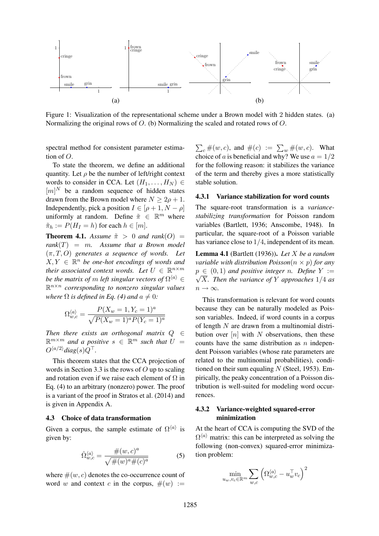

Figure 1: Visualization of the representational scheme under a Brown model with 2 hidden states. (a) Normalizing the original rows of O. (b) Normalizing the scaled and rotated rows of O.

spectral method for consistent parameter estimation of O.

To state the theorem, we define an additional quantity. Let  $\rho$  be the number of left/right context words to consider in CCA. Let  $(H_1, \ldots, H_N) \in$  $[m]^{N}$  be a random sequence of hidden states drawn from the Brown model where  $N > 2\rho + 1$ . Independently, pick a position  $I \in [\rho + 1, N - \rho]$ uniformly at random. Define  $\tilde{\pi} \in \mathbb{R}^m$  where  $\tilde{\pi}_h := P(H_I = h)$  for each  $h \in [m]$ .

**Theorem 4.1.** *Assume*  $\tilde{\pi} > 0$  *and rank*(*O*) = *rank*(T) = m*. Assume that a Brown model* (π, T, O) *generates a sequence of words. Let*  $X, Y \in \mathbb{R}^n$  be one-hot encodings of words and *their associated context words. Let*  $U \in \mathbb{R}^{n \times m}$ *be the matrix of*  $m$  *left singular vectors of*  $\Omega^{\langle a \rangle} \in$ R n×n *corresponding to nonzero singular values where*  $\Omega$  *is defined in Eq.* (4) and  $a \neq 0$ *:* 

$$
\Omega_{w,c}^{\langle a \rangle} = \frac{P(X_w = 1, Y_c = 1)^a}{\sqrt{P(X_w = 1)^a P(Y_c = 1)^a}}
$$

*Then there exists an orthogonal matrix* Q ∈  $\mathbb{R}^{m \times m}$  and a positive  $s \in \mathbb{R}^m$  such that  $U =$  $O^{\langle a/2\rangle}$ *diag*(s) $Q^{\top}$ .

This theorem states that the CCA projection of words in Section 3.3 is the rows of  $O$  up to scaling and rotation even if we raise each element of  $\Omega$  in Eq. (4) to an arbitrary (nonzero) power. The proof is a variant of the proof in Stratos et al. (2014) and is given in Appendix A.

### 4.3 Choice of data transformation

Given a corpus, the sample estimate of  $\Omega^{\langle a \rangle}$  is given by:

$$
\hat{\Omega}_{w,c}^{\langle a \rangle} = \frac{\#(w,c)^a}{\sqrt{\#(w)^a \#(c)^a}} \tag{5}
$$

where  $\#(w, c)$  denotes the co-occurrence count of word w and context c in the corpus,  $\#(w) :=$ 

 $\sum_{c} \#(w, c)$ , and  $\#(c) := \sum_{w} \#(w, c)$ . What choice of a is beneficial and why? We use  $a = 1/2$ for the following reason: it stabilizes the variance of the term and thereby gives a more statistically stable solution.

#### 4.3.1 Variance stabilization for word counts

The square-root transformation is a *variancestabilizing transformation* for Poisson random variables (Bartlett, 1936; Anscombe, 1948). In particular, the square-root of a Poisson variable has variance close to 1/4, independent of its mean.

Lemma 4.1 (Bartlett (1936)). *Let* X *be a random variable with distribution Poisson* $(n \times p)$  *for any*  $p \in (0,1)$  *and positive integer n. Define*  $Y :=$  $\sqrt{X}$ *. Then the variance of* Y *approaches* 1/4 *as*  $n \to \infty$ .

This transformation is relevant for word counts because they can be naturally modeled as Poisson variables. Indeed, if word counts in a corpus of length  $N$  are drawn from a multinomial distribution over  $[n]$  with N observations, then these counts have the same distribution as  $n$  independent Poisson variables (whose rate parameters are related to the multinomial probabilities), conditioned on their sum equaling  $N$  (Steel, 1953). Empirically, the peaky concentration of a Poisson distribution is well-suited for modeling word occurrences.

### 4.3.2 Variance-weighted squared-error minimization

At the heart of CCA is computing the SVD of the  $\Omega^{\langle a \rangle}$  matrix: this can be interpreted as solving the following (non-convex) squared-error minimization problem:

$$
\min_{u_w, v_c \in \mathbb{R}^m} \sum_{w,c} \left( \Omega_{w,c}^{\langle a \rangle} - u_w^\top v_c \right)^2
$$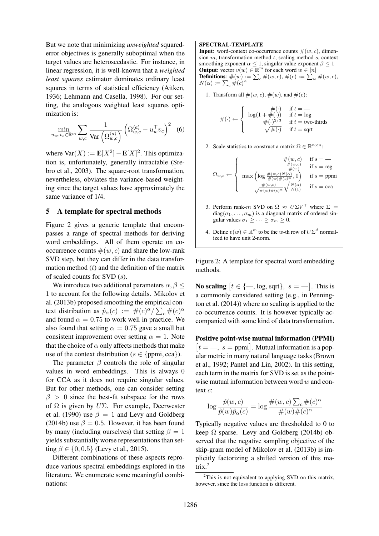But we note that minimizing *unweighted* squarederror objectives is generally suboptimal when the target values are heteroscedastic. For instance, in linear regression, it is well-known that a *weighted least squares* estimator dominates ordinary least squares in terms of statistical efficiency (Aitken, 1936; Lehmann and Casella, 1998). For our setting, the analogous weighted least squares optimization is:

$$
\min_{u_w, v_c \in \mathbb{R}^m} \sum_{w,c} \frac{1}{\text{Var}\left(\Omega_{w,c}^{\langle a \rangle}\right)} \left(\Omega_{w,c}^{\langle a \rangle} - u_w^\top v_c\right)^2 \tag{6}
$$

where  $\text{Var}(X) := \mathbf{E}[X^2] - \mathbf{E}[X]^2$ . This optimization is, unfortunately, generally intractable (Srebro et al., 2003). The square-root transformation, nevertheless, obviates the variance-based weighting since the target values have approximately the same variance of 1/4.

#### 5 A template for spectral methods

Figure 2 gives a generic template that encompasses a range of spectral methods for deriving word embeddings. All of them operate on cooccurrence counts  $\#(w, c)$  and share the low-rank SVD step, but they can differ in the data transformation method  $(t)$  and the definition of the matrix of scaled counts for SVD (s).

We introduce two additional parameters  $\alpha, \beta \leq$ 1 to account for the following details. Mikolov et al. (2013b) proposed smoothing the empirical context distribution as  $\hat{p}_{\alpha}(c) := \#(c)^{\alpha} / \sum_{c} \#(c)^{\alpha}$ and found  $\alpha = 0.75$  to work well in practice. We also found that setting  $\alpha = 0.75$  gave a small but consistent improvement over setting  $\alpha = 1$ . Note that the choice of  $\alpha$  only affects methods that make use of the context distribution ( $s \in \{ppmi, cca\}$ ).

The parameter  $\beta$  controls the role of singular values in word embeddings. This is always 0 for CCA as it does not require singular values. But for other methods, one can consider setting  $\beta > 0$  since the best-fit subspace for the rows of  $\Omega$  is given by  $U\Sigma$ . For example, Deerwester et al. (1990) use  $\beta = 1$  and Levy and Goldberg (2014b) use  $\beta = 0.5$ . However, it has been found by many (including ourselves) that setting  $\beta = 1$ yields substantially worse representations than setting  $\beta \in \{0, 0.5\}$  (Levy et al., 2015).

Different combinations of these aspects reproduce various spectral embeddings explored in the literature. We enumerate some meaningful combinations:

#### SPECTRAL-TEMPLATE

**Input:** word-context co-occurrence counts  $\#(w, c)$ , dimension  $m$ , transformation method  $t$ , scaling method  $s$ , context smoothing exponent  $\alpha \leq 1$ , singular value exponent  $\beta \leq 1$ **Output:** vector  $v(w) \in \mathbb{R}^m$  for each word  $w \in [n]$ <br>**Definitions:**  $\#(w) := \sum_c \#(w, c)$ ,  $\#(c) := \sum_w \#(w, c)$ ,  $N(\alpha) := \sum_c \#(c)^{\alpha}$ 

1. Transform all  $\#(w, c)$ ,  $\#(w)$ , and  $\#(c)$ :

$$
\#(\cdot) \leftarrow \left\{ \begin{array}{cl} \#(\cdot) & \text{if } t = - \\ \log(1 + \#(\cdot)) & \text{if } t = \log \\ \#(\cdot)^{2/3} & \text{if } t = \text{two-thirds} \\ \sqrt{\#(\cdot)} & \text{if } t = \text{sqrt} \end{array} \right.
$$

2. Scale statistics to construct a matrix  $\Omega \in \mathbb{R}^{n \times n}$ :

$$
\Omega_{w,c} \gets \left\{ \begin{array}{cl} \#(w,c) & \text{if } s = \text{---} \\ \frac{\#(w,c)}{\#(w)} & \text{if } s = \text{reg} \\ \max\left(\log\frac{\#(w,c)N(\alpha)}{\#(w)\#(c)^\alpha},0\right) & \text{if } s = \text{ppmi} \\ \frac{\#(w,c)}{\sqrt{\#(w)\#(c)^\alpha}}\sqrt{\frac{N(\alpha)}{N(1)}} & \text{if } s = \text{cca} \end{array} \right.
$$

- 3. Perform rank-m SVD on  $\Omega \approx U \Sigma V^{\dagger}$  where  $\Sigma =$ diag $(\sigma_1, \ldots, \sigma_m)$  is a diagonal matrix of ordered singular values  $\sigma_1 \geq \cdots \geq \sigma_m \geq 0$ .
- 4. Define  $v(w) \in \mathbb{R}^m$  to be the w-th row of  $U\Sigma^{\beta}$  normalized to have unit 2-norm.

Figure 2: A template for spectral word embedding methods.

**No scaling**  $[t \in \{-\text{, log, sqrt}\}, s = -]$ . This is a commonly considered setting (e.g., in Pennington et al. (2014)) where no scaling is applied to the co-occurrence counts. It is however typically accompanied with some kind of data transformation.

Positive point-wise mutual information (PPMI)  $[t = , s =$  ppmi. Mutual information is a popular metric in many natural language tasks (Brown et al., 1992; Pantel and Lin, 2002). In this setting, each term in the matrix for SVD is set as the pointwise mutual information between word  $w$  and context c:

$$
\log \frac{\hat{p}(w, c)}{\hat{p}(w)\hat{p}_{\alpha}(c)} = \log \frac{\#(w, c) \sum_{c} \#(c)^{\alpha}}{\#(w) \#(c)^{\alpha}}
$$

Typically negative values are thresholded to 0 to keep  $\Omega$  sparse. Levy and Goldberg (2014b) observed that the negative sampling objective of the skip-gram model of Mikolov et al. (2013b) is implicitly factorizing a shifted version of this matrix.<sup>2</sup>

 $2$ This is not equivalent to applying SVD on this matrix, however, since the loss function is different.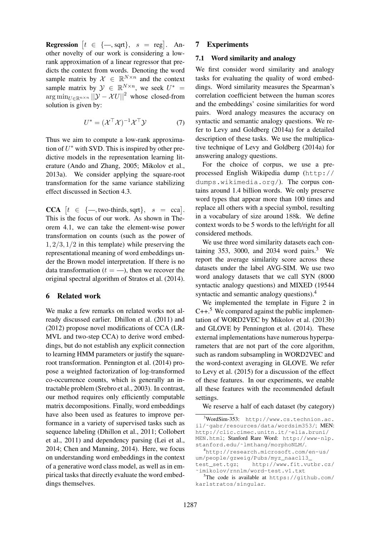**Regression**  $|t \in \{-\text{, sqrt}\}, s = \text{reg}|$ . Another novelty of our work is considering a lowrank approximation of a linear regressor that predicts the context from words. Denoting the word sample matrix by  $X \in \mathbb{R}^{N \times n}$  and the context sample matrix by  $\mathcal{Y} \in \mathbb{R}^{N \times n}$ , we seek  $U^* =$  $\arg \min_{U \in \mathbb{R}^{n \times n}} ||\mathcal{Y} - \mathcal{X}U||^2$  whose closed-from solution is given by:

$$
U^* = (\mathcal{X}^\top \mathcal{X})^{-1} \mathcal{X}^\top \mathcal{Y} \tag{7}
$$

Thus we aim to compute a low-rank approximation of  $U^*$  with SVD. This is inspired by other predictive models in the representation learning literature (Ando and Zhang, 2005; Mikolov et al., 2013a). We consider applying the square-root transformation for the same variance stabilizing effect discussed in Section 4.3.

**CCA**  $[t \in \{-\text{, two-thirds}, \text{sqrt}\}, s = \text{cca}].$ This is the focus of our work. As shown in Theorem 4.1, we can take the element-wise power transformation on counts (such as the power of  $1, 2/3, 1/2$  in this template) while preserving the representational meaning of word embeddings under the Brown model interpretation. If there is no data transformation ( $t = -$ ), then we recover the original spectral algorithm of Stratos et al. (2014).

### 6 Related work

We make a few remarks on related works not already discussed earlier. Dhillon et al. (2011) and (2012) propose novel modifications of CCA (LR-MVL and two-step CCA) to derive word embeddings, but do not establish any explicit connection to learning HMM parameters or justify the squareroot transformation. Pennington et al. (2014) propose a weighted factorization of log-transformed co-occurrence counts, which is generally an intractable problem (Srebro et al., 2003). In contrast, our method requires only efficiently computable matrix decompositions. Finally, word embeddings have also been used as features to improve performance in a variety of supervised tasks such as sequence labeling (Dhillon et al., 2011; Collobert et al., 2011) and dependency parsing (Lei et al., 2014; Chen and Manning, 2014). Here, we focus on understanding word embeddings in the context of a generative word class model, as well as in empirical tasks that directly evaluate the word embeddings themselves.

### 7 Experiments

## 7.1 Word similarity and analogy

We first consider word similarity and analogy tasks for evaluating the quality of word embeddings. Word similarity measures the Spearman's correlation coefficient between the human scores and the embeddings' cosine similarities for word pairs. Word analogy measures the accuracy on syntactic and semantic analogy questions. We refer to Levy and Goldberg (2014a) for a detailed description of these tasks. We use the multiplicative technique of Levy and Goldberg (2014a) for answering analogy questions.

For the choice of corpus, we use a preprocessed English Wikipedia dump (http:// dumps.wikimedia.org/). The corpus contains around 1.4 billion words. We only preserve word types that appear more than 100 times and replace all others with a special symbol, resulting in a vocabulary of size around 188k. We define context words to be 5 words to the left/right for all considered methods.

We use three word similarity datasets each containing 353, 3000, and 2034 word pairs.<sup>3</sup> We report the average similarity score across these datasets under the label AVG-SIM. We use two word analogy datasets that we call SYN (8000 syntactic analogy questions) and MIXED (19544 syntactic and semantic analogy questions).<sup>4</sup>

We implemented the template in Figure 2 in  $C++$ <sup>5</sup>. We compared against the public implementation of WORD2VEC by Mikolov et al. (2013b) and GLOVE by Pennington et al. (2014). These external implementations have numerous hyperparameters that are not part of the core algorithm, such as random subsampling in WORD2VEC and the word-context averaging in GLOVE. We refer to Levy et al. (2015) for a discussion of the effect of these features. In our experiments, we enable all these features with the recommended default settings.

We reserve a half of each dataset (by category)

 $3$ WordSim-353: http://www.cs.technion.ac. il/˜gabr/resources/data/wordsim353/; MEN: http://clic.cimec.unitn.it/˜elia.bruni/ MEN.html; Stanford Rare Word: http://www-nlp.

stanford.edu/~lmthang/morphoNLM/. <sup>4</sup>http://research.microsoft.com/en-us/ um/people/gzweig/Pubs/myz\_naacl13\_ test\_set.tgz; http://www.fit.vutbr.cz/

<sup>˜</sup>imikolov/rnnlm/word-test.v1.txt

<sup>&</sup>lt;sup>5</sup>The code is available at  $https://github.com/$ karlstratos/singular.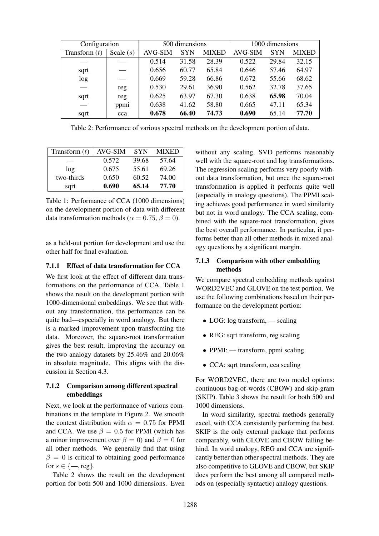| Configuration   |             | 500 dimensions |            |              | 1000 dimensions |            |              |
|-----------------|-------------|----------------|------------|--------------|-----------------|------------|--------------|
| Transform $(t)$ | Scale $(s)$ | <b>AVG-SIM</b> | <b>SYN</b> | <b>MIXED</b> | <b>AVG-SIM</b>  | <b>SYN</b> | <b>MIXED</b> |
|                 |             | 0.514          | 31.58      | 28.39        | 0.522           | 29.84      | 32.15        |
| sqrt            |             | 0.656          | 60.77      | 65.84        | 0.646           | 57.46      | 64.97        |
| log             |             | 0.669          | 59.28      | 66.86        | 0.672           | 55.66      | 68.62        |
|                 | reg         | 0.530          | 29.61      | 36.90        | 0.562           | 32.78      | 37.65        |
| sqrt            | reg         | 0.625          | 63.97      | 67.30        | 0.638           | 65.98      | 70.04        |
|                 | ppmi        | 0.638          | 41.62      | 58.80        | 0.665           | 47.11      | 65.34        |
| sqrt            | cca         | 0.678          | 66.40      | 74.73        | 0.690           | 65.14      | 77.70        |

Table 2: Performance of various spectral methods on the development portion of data.

| Transform $(t)$ | AVG-SIM | <b>SYN</b> | MIXED |  |
|-----------------|---------|------------|-------|--|
|                 | 0.572   | 39.68      | 57.64 |  |
| log             | 0.675   | 55.61      | 69.26 |  |
| two-thirds      | 0.650   | 60.52      | 74.00 |  |
| sqrt            | 0.690   | 65.14      | 77.70 |  |

Table 1: Performance of CCA (1000 dimensions) on the development portion of data with different data transformation methods ( $\alpha = 0.75$ ,  $\beta = 0$ ).

as a held-out portion for development and use the other half for final evaluation.

### 7.1.1 Effect of data transformation for CCA

We first look at the effect of different data transformations on the performance of CCA. Table 1 shows the result on the development portion with 1000-dimensional embeddings. We see that without any transformation, the performance can be quite bad—especially in word analogy. But there is a marked improvement upon transforming the data. Moreover, the square-root transformation gives the best result, improving the accuracy on the two analogy datasets by 25.46% and 20.06% in absolute magnitude. This aligns with the discussion in Section 4.3.

# 7.1.2 Comparison among different spectral embeddings

Next, we look at the performance of various combinations in the template in Figure 2. We smooth the context distribution with  $\alpha = 0.75$  for PPMI and CCA. We use  $\beta = 0.5$  for PPMI (which has a minor improvement over  $\beta = 0$ ) and  $\beta = 0$  for all other methods. We generally find that using  $\beta = 0$  is critical to obtaining good performance for  $s \in \{-$ , reg}.

Table 2 shows the result on the development portion for both 500 and 1000 dimensions. Even

without any scaling, SVD performs reasonably well with the square-root and log transformations. The regression scaling performs very poorly without data transformation, but once the square-root transformation is applied it performs quite well (especially in analogy questions). The PPMI scaling achieves good performance in word similarity but not in word analogy. The CCA scaling, combined with the square-root transformation, gives the best overall performance. In particular, it performs better than all other methods in mixed analogy questions by a significant margin.

# 7.1.3 Comparison with other embedding methods

We compare spectral embedding methods against WORD2VEC and GLOVE on the test portion. We use the following combinations based on their performance on the development portion:

- LOG: log transform, scaling
- REG: sqrt transform, reg scaling
- PPMI: transform, ppmi scaling
- CCA: sqrt transform, cca scaling

For WORD2VEC, there are two model options: continuous bag-of-words (CBOW) and skip-gram (SKIP). Table 3 shows the result for both 500 and 1000 dimensions.

In word similarity, spectral methods generally excel, with CCA consistently performing the best. SKIP is the only external package that performs comparably, with GLOVE and CBOW falling behind. In word analogy, REG and CCA are significantly better than other spectral methods. They are also competitive to GLOVE and CBOW, but SKIP does perform the best among all compared methods on (especially syntactic) analogy questions.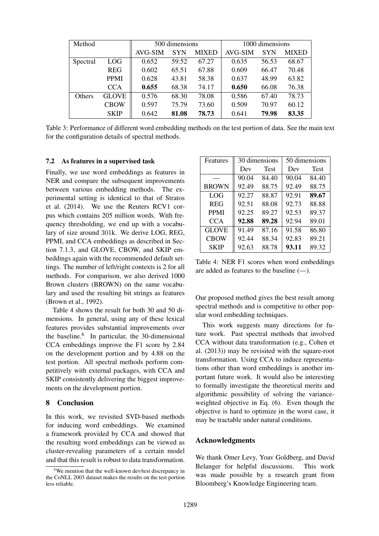| Method        |              | 500 dimensions |            |              | 1000 dimensions |            |              |
|---------------|--------------|----------------|------------|--------------|-----------------|------------|--------------|
|               |              | AVG-SIM        | <b>SYN</b> | <b>MIXED</b> | AVG-SIM         | <b>SYN</b> | <b>MIXED</b> |
| Spectral      | <b>LOG</b>   | 0.652          | 59.52      | 67.27        | 0.635           | 56.53      | 68.67        |
|               | <b>REG</b>   | 0.602          | 65.51      | 67.88        | 0.609           | 66.47      | 70.48        |
|               | <b>PPMI</b>  | 0.628          | 43.81      | 58.38        | 0.637           | 48.99      | 63.82        |
|               | <b>CCA</b>   | 0.655          | 68.38      | 74.17        | 0.650           | 66.08      | 76.38        |
| <b>Others</b> | <b>GLOVE</b> | 0.576          | 68.30      | 78.08        | 0.586           | 67.40      | 78.73        |
|               | <b>CBOW</b>  | 0.597          | 75.79      | 73.60        | 0.509           | 70.97      | 60.12        |
|               | <b>SKIP</b>  | 0.642          | 81.08      | 78.73        | 0.641           | 79.98      | 83.35        |

Table 3: Performance of different word embedding methods on the test portion of data. See the main text for the configuration details of spectral methods.

### 7.2 As features in a supervised task

Finally, we use word embeddings as features in NER and compare the subsequent improvements between various embedding methods. The experimental setting is identical to that of Stratos et al. (2014). We use the Reuters RCV1 corpus which contains 205 million words. With frequency thresholding, we end up with a vocabulary of size around 301k. We derive LOG, REG, PPMI, and CCA embeddings as described in Section 7.1.3, and GLOVE, CBOW, and SKIP embeddings again with the recommended default settings. The number of left/right contexts is 2 for all methods. For comparison, we also derived 1000 Brown clusters (BROWN) on the same vocabulary and used the resulting bit strings as features (Brown et al., 1992).

Table 4 shows the result for both 30 and 50 dimensions. In general, using any of these lexical features provides substantial improvements over the baseline.<sup>6</sup> In particular, the 30-dimensional CCA embeddings improve the F1 score by 2.84 on the development portion and by 4.88 on the test portion. All spectral methods perform competitively with external packages, with CCA and SKIP consistently delivering the biggest improvements on the development portion.

### 8 Conclusion

In this work, we revisited SVD-based methods for inducing word embeddings. We examined a framework provided by CCA and showed that the resulting word embeddings can be viewed as cluster-revealing parameters of a certain model and that this result is robust to data transformation.

| Features     |       | 30 dimensions | 50 dimensions |             |  |
|--------------|-------|---------------|---------------|-------------|--|
|              | Dev   | <b>Test</b>   | Dev           | <b>Test</b> |  |
|              | 90.04 | 84.40         | 90.04         | 84.40       |  |
| <b>BROWN</b> | 92.49 | 88.75         | 92.49         | 88.75       |  |
| <b>LOG</b>   | 92.27 | 88.87         | 92.91         | 89.67       |  |
| <b>REG</b>   | 92.51 | 88.08         | 92.73         | 88.88       |  |
| <b>PPMI</b>  | 92.25 | 89.27         | 92.53         | 89.37       |  |
| <b>CCA</b>   | 92.88 | 89.28         | 92.94         | 89.01       |  |
| <b>GLOVE</b> | 91.49 | 87.16         | 91.58         | 86.80       |  |
| <b>CBOW</b>  | 92.44 | 88.34         | 92.83         | 89.21       |  |
| <b>SKIP</b>  | 92.63 | 88.78         | 93.11         | 89.32       |  |

Table 4: NER F1 scores when word embeddings are added as features to the baseline (—).

Our proposed method gives the best result among spectral methods and is competitive to other popular word embedding techniques.

This work suggests many directions for future work. Past spectral methods that involved CCA without data transformation (e.g., Cohen et al. (2013)) may be revisited with the square-root transformation. Using CCA to induce representations other than word embeddings is another important future work. It would also be interesting to formally investigate the theoretical merits and algorithmic possibility of solving the varianceweighted objective in Eq. (6). Even though the objective is hard to optimize in the worst case, it may be tractable under natural conditions.

### Acknowledgments

We thank Omer Levy, Yoav Goldberg, and David Belanger for helpful discussions. This work was made possible by a research grant from Bloomberg's Knowledge Engineering team.

 $6$ We mention that the well-known dev/test discrepancy in the CoNLL 2003 dataset makes the results on the test portion less reliable.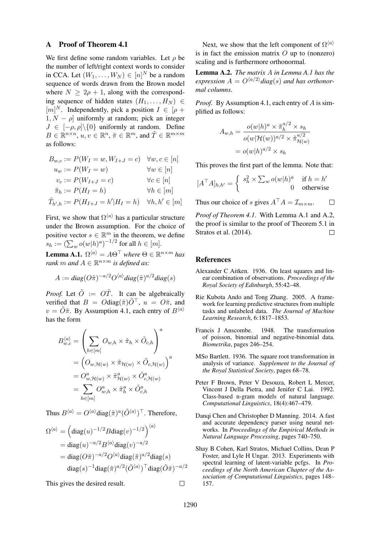#### A Proof of Theorem 4.1

We first define some random variables. Let  $\rho$  be the number of left/right context words to consider in CCA. Let  $(W_1, \ldots, W_N) \in [n]^N$  be a random sequence of words drawn from the Brown model where  $N > 2\rho + 1$ , along with the corresponding sequence of hidden states  $(H_1, \ldots, H_N) \in$  $[m]^N$ . Independently, pick a position  $I \in [\rho +]$  $1, N - \rho$  uniformly at random; pick an integer  $J \in [-\rho, \rho] \setminus \{0\}$  uniformly at random. Define  $B \in \mathbb{R}^{n \times n}$ ,  $u, v \in \mathbb{R}^n$ ,  $\tilde{\pi} \in \mathbb{R}^m$ , and  $\tilde{T} \in \mathbb{R}^{m \times m}$ as follows:

$$
B_{w,c} := P(W_I = w, W_{I+J} = c) \quad \forall w, c \in [n]
$$
  
\n
$$
u_w := P(W_I = w) \qquad \forall w \in [n]
$$
  
\n
$$
v_c := P(W_{I+J} = c) \qquad \forall c \in [n]
$$
  
\n
$$
\tilde{\pi}_h := P(H_I = h) \qquad \forall h \in [m]
$$
  
\n
$$
\tilde{T}_{h',h} := P(H_{I+J} = h'|H_I = h) \quad \forall h, h' \in [m]
$$

First, we show that  $\Omega^{\langle a \rangle}$  has a particular structure under the Brown assumption. For the choice of positive vector  $s \in \mathbb{R}^m$  in the theorem, we define  $s_h := \left(\sum_w o(w|h)^a\right)^{-1/2}$  for all  $h \in [m]$ .

**Lemma A.1.**  $\Omega^{\langle a \rangle} = A\Theta^{\top}$  where  $\Theta \in \mathbb{R}^{n \times m}$  has *rank m and*  $A \in \mathbb{R}^{n \times m}$  *is defined as:* 

$$
A := diag(O\tilde{\pi})^{-a/2} O^{\langle a \rangle} diag(\tilde{\pi})^{a/2} diag(s)
$$

*Proof.* Let  $\tilde{O}$  :=  $\tilde{OT}$ . It can be algebraically verified that  $B = O \text{diag}(\tilde{\pi}) \tilde{O}^\top$ ,  $u = O\tilde{\pi}$ , and  $v = \tilde{O}\tilde{\pi}$ . By Assumption 4.1, each entry of  $B^{\langle a \rangle}$ has the form

$$
B_{w,c}^{\langle a \rangle} = \left( \sum_{h \in [m]} O_{w,h} \times \tilde{\pi}_h \times \tilde{O}_{c,h} \right)^a
$$
  
= 
$$
\left( O_{w,\mathcal{H}(w)} \times \tilde{\pi}_{\mathcal{H}(w)} \times \tilde{O}_{c,\mathcal{H}(w)} \right)^a
$$
  
= 
$$
O_{w,\mathcal{H}(w)}^a \times \tilde{\pi}_{\mathcal{H}(w)}^a \times \tilde{O}_{c,\mathcal{H}(w)}^a
$$
  
= 
$$
\sum_{h \in [m]} O_{w,h}^a \times \tilde{\pi}_h^a \times \tilde{O}_{c,h}^a
$$

Thus  $B^{\langle a \rangle} = O^{\langle a \rangle} \text{diag}(\tilde{\pi})^a (\tilde{O}^{\langle a \rangle})^\top$ . Therefore,

$$
\Omega^{\langle a \rangle} = \left(\text{diag}(u)^{-1/2} B \text{diag}(v)^{-1/2}\right)^{\langle a \rangle}
$$
  
= diag(u)^{-a/2} B^{\langle a \rangle} diag(v)^{-a/2}  
= diag(O\tilde{\pi})^{-a/2} O^{\langle a \rangle} diag(\tilde{\pi})^{a/2} diag(s)  
diag(s)^{-1} diag(\tilde{\pi})^{a/2} (\tilde{O}^{\langle a \rangle})^{\top} diag(\tilde{O}\tilde{\pi})^{-a/2}

This gives the desired result.

Next, we show that the left component of  $\Omega^{(a)}$ is in fact the emission matrix  $O$  up to (nonzero) scaling and is furthermore orthonormal.

Lemma A.2. *The matrix* A *in Lemma A.1 has the* expression  $A = O^{(a/2)}$ *diag(s)* and has orthonor*mal columns.*

*Proof.* By Assumption 4.1, each entry of A is simplified as follows:

$$
A_{w,h} = \frac{o(w|h)^a \times \tilde{\pi}_h^{a/2} \times s_h}{o(w|\mathcal{H}(w))^{a/2} \times \tilde{\pi}_{\mathcal{H}(w)}^{a/2}}
$$

$$
= o(w|h)^{a/2} \times s_h
$$

This proves the first part of the lemma. Note that:

$$
[A^{\top}A]_{h,h'} = \begin{cases} s_h^2 \times \sum_w o(w|h)^a & \text{if } h = h' \\ 0 & \text{otherwise} \end{cases}
$$

Thus our choice of s gives  $A^{\top}A = \mathcal{I}_{m \times m}$ .  $\Box$ 

*Proof of Theorem 4.1.* With Lemma A.1 and A.2, the proof is similar to the proof of Theorem 5.1 in Stratos et al. (2014).  $\Box$ 

#### References

- Alexander C Aitken. 1936. On least squares and linear combination of observations. *Proceedings of the Royal Society of Edinburgh*, 55:42–48.
- Rie Kubota Ando and Tong Zhang. 2005. A framework for learning predictive structures from multiple tasks and unlabeled data. *The Journal of Machine Learning Research*, 6:1817–1853.
- Francis J Anscombe. 1948. The transformation of poisson, binomial and negative-binomial data. *Biometrika*, pages 246–254.
- MSo Bartlett. 1936. The square root transformation in analysis of variance. *Supplement to the Journal of the Royal Statistical Society*, pages 68–78.
- Peter F Brown, Peter V Desouza, Robert L Mercer, Vincent J Della Pietra, and Jenifer C Lai. 1992. Class-based n-gram models of natural language. *Computational Linguistics*, 18(4):467–479.
- Danqi Chen and Christopher D Manning. 2014. A fast and accurate dependency parser using neural networks. In *Proceedings of the Empirical Methods in Natural Language Processing*, pages 740–750.
- Shay B Cohen, Karl Stratos, Michael Collins, Dean P Foster, and Lyle H Ungar. 2013. Experiments with spectral learning of latent-variable pcfgs. In *Proceedings of the North American Chapter of the Association of Computational Linguistics*, pages 148– 157.

 $\Box$